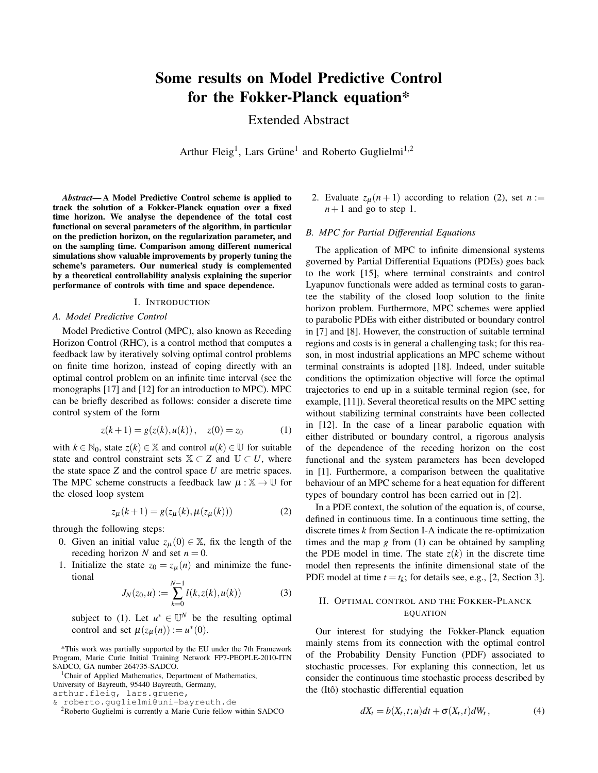# Some results on Model Predictive Control for the Fokker-Planck equation\*

Extended Abstract

Arthur Fleig<sup>1</sup>, Lars Grüne<sup>1</sup> and Roberto Guglielmi<sup>1,2</sup>

*Abstract*— A Model Predictive Control scheme is applied to track the solution of a Fokker-Planck equation over a fixed time horizon. We analyse the dependence of the total cost functional on several parameters of the algorithm, in particular on the prediction horizon, on the regularization parameter, and on the sampling time. Comparison among different numerical simulations show valuable improvements by properly tuning the scheme's parameters. Our numerical study is complemented by a theoretical controllability analysis explaining the superior performance of controls with time and space dependence.

### I. INTRODUCTION

## *A. Model Predictive Control*

Model Predictive Control (MPC), also known as Receding Horizon Control (RHC), is a control method that computes a feedback law by iteratively solving optimal control problems on finite time horizon, instead of coping directly with an optimal control problem on an infinite time interval (see the monographs [17] and [12] for an introduction to MPC). MPC can be briefly described as follows: consider a discrete time control system of the form

$$
z(k+1) = g(z(k), u(k)), \quad z(0) = z_0 \tag{1}
$$

with  $k \in \mathbb{N}_0$ , state  $z(k) \in \mathbb{X}$  and control  $u(k) \in \mathbb{U}$  for suitable state and control constraint sets  $X \subset Z$  and  $U \subset U$ , where the state space *Z* and the control space *U* are metric spaces. The MPC scheme constructs a feedback law  $\mu : \mathbb{X} \to \mathbb{U}$  for the closed loop system

$$
z_{\mu}(k+1) = g(z_{\mu}(k), \mu(z_{\mu}(k)))
$$
 (2)

through the following steps:

- 0. Given an initial value  $z_{\mu}(0) \in \mathbb{X}$ , fix the length of the receding horizon *N* and set  $n = 0$ .
- 1. Initialize the state  $z_0 = z_\mu(n)$  and minimize the functional

$$
J_N(z_0, u) := \sum_{k=0}^{N-1} l(k, z(k), u(k))
$$
 (3)

subject to (1). Let  $u^* \in \mathbb{U}^N$  be the resulting optimal control and set  $\mu(z_{\mu}(n)) := u^{*}(0)$ .

\*This work was partially supported by the EU under the 7th Framework Program, Marie Curie Initial Training Network FP7-PEOPLE-2010-ITN SADCO, GA number 264735-SADCO.

<sup>1</sup>Chair of Applied Mathematics, Department of Mathematics, University of Bayreuth, 95440 Bayreuth, Germany,

arthur.fleig, lars.gruene,

& roberto.guglielmi@uni-bayreuth.de

<sup>2</sup>Roberto Guglielmi is currently a Marie Curie fellow within SADCO

2. Evaluate  $z_\mu(n+1)$  according to relation (2), set  $n :=$  $n+1$  and go to step 1.

## *B. MPC for Partial Differential Equations*

The application of MPC to infinite dimensional systems governed by Partial Differential Equations (PDEs) goes back to the work [15], where terminal constraints and control Lyapunov functionals were added as terminal costs to garantee the stability of the closed loop solution to the finite horizon problem. Furthermore, MPC schemes were applied to parabolic PDEs with either distributed or boundary control in [7] and [8]. However, the construction of suitable terminal regions and costs is in general a challenging task; for this reason, in most industrial applications an MPC scheme without terminal constraints is adopted [18]. Indeed, under suitable conditions the optimization objective will force the optimal trajectories to end up in a suitable terminal region (see, for example, [11]). Several theoretical results on the MPC setting without stabilizing terminal constraints have been collected in [12]. In the case of a linear parabolic equation with either distributed or boundary control, a rigorous analysis of the dependence of the receding horizon on the cost functional and the system parameters has been developed in [1]. Furthermore, a comparison between the qualitative behaviour of an MPC scheme for a heat equation for different types of boundary control has been carried out in [2].

In a PDE context, the solution of the equation is, of course, defined in continuous time. In a continuous time setting, the discrete times *k* from Section I-A indicate the re-optimization times and the map *g* from (1) can be obtained by sampling the PDE model in time. The state  $z(k)$  in the discrete time model then represents the infinite dimensional state of the PDE model at time  $t = t_k$ ; for details see, e.g., [2, Section 3].

## II. OPTIMAL CONTROL AND THE FOKKER-PLANCK EQUATION

Our interest for studying the Fokker-Planck equation mainly stems from its connection with the optimal control of the Probability Density Function (PDF) associated to stochastic processes. For explaning this connection, let us consider the continuous time stochastic process described by the (Itô) stochastic differential equation

$$
dX_t = b(X_t, t; u)dt + \sigma(X_t, t)dW_t, \qquad (4)
$$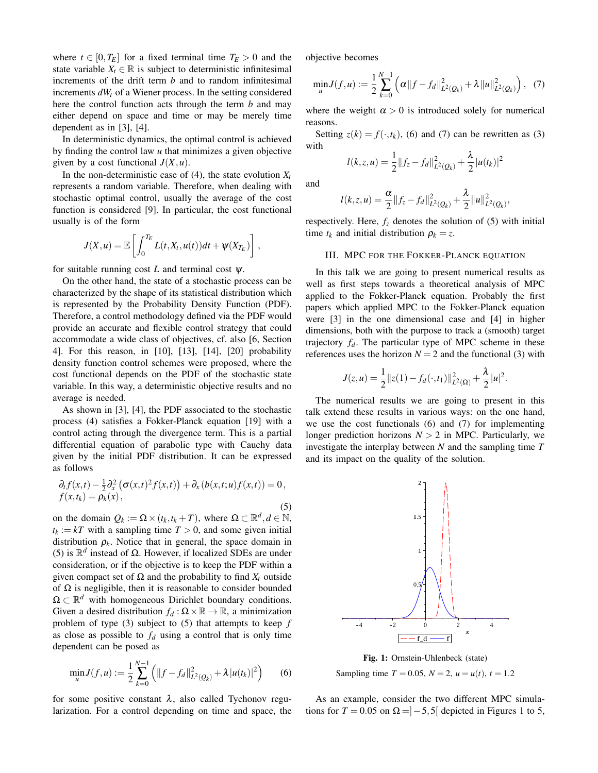where  $t \in [0, T_E]$  for a fixed terminal time  $T_E > 0$  and the state variable  $X_t \in \mathbb{R}$  is subject to deterministic infinitesimal increments of the drift term *b* and to random infinitesimal increments  $dW_t$  of a Wiener process. In the setting considered here the control function acts through the term *b* and may either depend on space and time or may be merely time dependent as in [3], [4].

In deterministic dynamics, the optimal control is achieved by finding the control law *u* that minimizes a given objective given by a cost functional  $J(X, u)$ .

In the non-deterministic case of  $(4)$ , the state evolution  $X_t$ represents a random variable. Therefore, when dealing with stochastic optimal control, usually the average of the cost function is considered [9]. In particular, the cost functional usually is of the form

$$
J(X, u) = \mathbb{E}\left[\int_0^{T_E} L(t, X_t, u(t))dt + \psi(X_{T_E})\right],
$$

for suitable running cost  $L$  and terminal cost  $\psi$ .

On the other hand, the state of a stochastic process can be characterized by the shape of its statistical distribution which is represented by the Probability Density Function (PDF). Therefore, a control methodology defined via the PDF would provide an accurate and flexible control strategy that could accommodate a wide class of objectives, cf. also [6, Section 4]. For this reason, in [10], [13], [14], [20] probability density function control schemes were proposed, where the cost functional depends on the PDF of the stochastic state variable. In this way, a deterministic objective results and no average is needed.

As shown in [3], [4], the PDF associated to the stochastic process (4) satisfies a Fokker-Planck equation [19] with a control acting through the divergence term. This is a partial differential equation of parabolic type with Cauchy data given by the initial PDF distribution. It can be expressed as follows

$$
\partial_t f(x,t) - \frac{1}{2} \partial_x^2 \left( \sigma(x,t)^2 f(x,t) \right) + \partial_x \left( b(x,t;u) f(x,t) \right) = 0,
$$
  
 
$$
f(x,t_k) = \rho_k(x),
$$
 (5)

on the domain  $Q_k := \Omega \times (t_k, t_k + T)$ , where  $\Omega \subset \mathbb{R}^d, d \in \mathbb{N}$ ,  $t_k := kT$  with a sampling time  $T > 0$ , and some given initial distribution  $\rho_k$ . Notice that in general, the space domain in (5) is  $\mathbb{R}^d$  instead of  $\Omega$ . However, if localized SDEs are under consideration, or if the objective is to keep the PDF within a given compact set of  $\Omega$  and the probability to find  $X_t$  outside of  $\Omega$  is negligible, then it is reasonable to consider bounded  $\Omega \subset \mathbb{R}^d$  with homogeneous Dirichlet boundary conditions. Given a desired distribution  $f_d : \Omega \times \mathbb{R} \to \mathbb{R}$ , a minimization problem of type (3) subject to (5) that attempts to keep *f* as close as possible to  $f_d$  using a control that is only time dependent can be posed as

$$
\min_{u} J(f, u) := \frac{1}{2} \sum_{k=0}^{N-1} \left( \|f - f_d\|_{L^2(Q_k)}^2 + \lambda |u(t_k)|^2 \right) \tag{6}
$$

for some positive constant  $\lambda$ , also called Tychonov regularization. For a control depending on time and space, the objective becomes

$$
\min_{u} J(f, u) := \frac{1}{2} \sum_{k=0}^{N-1} \left( \alpha \|f - f_d\|_{L^2(Q_k)}^2 + \lambda \|u\|_{L^2(Q_k)}^2 \right), \tag{7}
$$

where the weight  $\alpha > 0$  is introduced solely for numerical reasons.

Setting  $z(k) = f(\cdot, t_k)$ , (6) and (7) can be rewritten as (3) with

$$
l(k, z, u) = \frac{1}{2} ||f_z - f_d||^2_{L^2(Q_k)} + \frac{\lambda}{2} |u(t_k)|^2
$$

and

$$
l(k, z, u) = \frac{\alpha}{2} ||f_z - f_d||^2_{L^2(Q_k)} + \frac{\lambda}{2} ||u||^2_{L^2(Q_k)},
$$

respectively. Here,  $f_z$  denotes the solution of (5) with initial time  $t_k$  and initial distribution  $\rho_k = z$ .

### III. MPC FOR THE FOKKER-PLANCK EQUATION

In this talk we are going to present numerical results as well as first steps towards a theoretical analysis of MPC applied to the Fokker-Planck equation. Probably the first papers which applied MPC to the Fokker-Planck equation were [3] in the one dimensional case and [4] in higher dimensions, both with the purpose to track a (smooth) target trajectory  $f_d$ . The particular type of MPC scheme in these references uses the horizon  $N = 2$  and the functional (3) with

$$
J(z, u) = \frac{1}{2} ||z(1) - f_d(\cdot, t_1)||_{L^2(\Omega)}^2 + \frac{\lambda}{2} |u|^2.
$$

The numerical results we are going to present in this talk extend these results in various ways: on the one hand, we use the cost functionals (6) and (7) for implementing longer prediction horizons  $N > 2$  in MPC. Particularly, we investigate the interplay between *N* and the sampling time *T* and its impact on the quality of the solution.



Fig. 1: Ornstein-Uhlenbeck (state) Sampling time  $T = 0.05$ ,  $N = 2$ ,  $u = u(t)$ ,  $t = 1.2$ 

As an example, consider the two different MPC simulations for  $T = 0.05$  on  $\Omega = ]-5,5[$  depicted in Figures 1 to 5,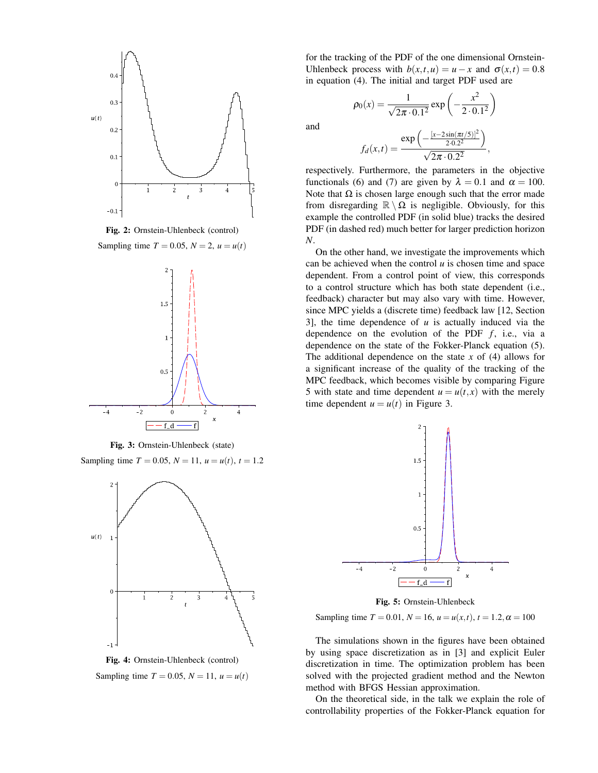

Fig. 2: Ornstein-Uhlenbeck (control)

Sampling time  $T = 0.05$ ,  $N = 2$ ,  $u = u(t)$ 



Fig. 3: Ornstein-Uhlenbeck (state)

Sampling time  $T = 0.05$ ,  $N = 11$ ,  $u = u(t)$ ,  $t = 1.2$ 



Fig. 4: Ornstein-Uhlenbeck (control) Sampling time  $T = 0.05$ ,  $N = 11$ ,  $u = u(t)$ 

for the tracking of the PDF of the one dimensional Ornstein-Uhlenbeck process with  $b(x,t,u) = u - x$  and  $\sigma(x,t) = 0.8$ in equation (4). The initial and target PDF used are

and

$$
\rho_0(x) = \frac{1}{\sqrt{2\pi \cdot 0.1^2}} \exp\left(-\frac{x^2}{2 \cdot 0.1^2}\right)
$$

$$
\exp\left(-\frac{[x - 2\sin(\pi t/5)]^2}{2 \cdot 0.2^2}\right)
$$

 $\setminus$ 

$$
f_d(x,t) = \frac{exp(-2.0.2^2)}{\sqrt{2\pi \cdot 0.2^2}},
$$

respectively. Furthermore, the parameters in the objective functionals (6) and (7) are given by  $\lambda = 0.1$  and  $\alpha = 100$ . Note that  $\Omega$  is chosen large enough such that the error made from disregarding  $\mathbb{R} \setminus \Omega$  is negligible. Obviously, for this example the controlled PDF (in solid blue) tracks the desired PDF (in dashed red) much better for larger prediction horizon *N*.

On the other hand, we investigate the improvements which can be achieved when the control *u* is chosen time and space dependent. From a control point of view, this corresponds to a control structure which has both state dependent (i.e., feedback) character but may also vary with time. However, since MPC yields a (discrete time) feedback law [12, Section 3], the time dependence of *u* is actually induced via the dependence on the evolution of the PDF  $f$ , i.e., via a dependence on the state of the Fokker-Planck equation (5). The additional dependence on the state *x* of (4) allows for a significant increase of the quality of the tracking of the MPC feedback, which becomes visible by comparing Figure 5 with state and time dependent  $u = u(t, x)$  with the merely time dependent  $u = u(t)$  in Figure 3.



Fig. 5: Ornstein-Uhlenbeck

Sampling time  $T = 0.01$ ,  $N = 16$ ,  $u = u(x,t)$ ,  $t = 1.2$ ,  $\alpha = 100$ 

The simulations shown in the figures have been obtained by using space discretization as in [3] and explicit Euler discretization in time. The optimization problem has been solved with the projected gradient method and the Newton method with BFGS Hessian approximation.

On the theoretical side, in the talk we explain the role of controllability properties of the Fokker-Planck equation for